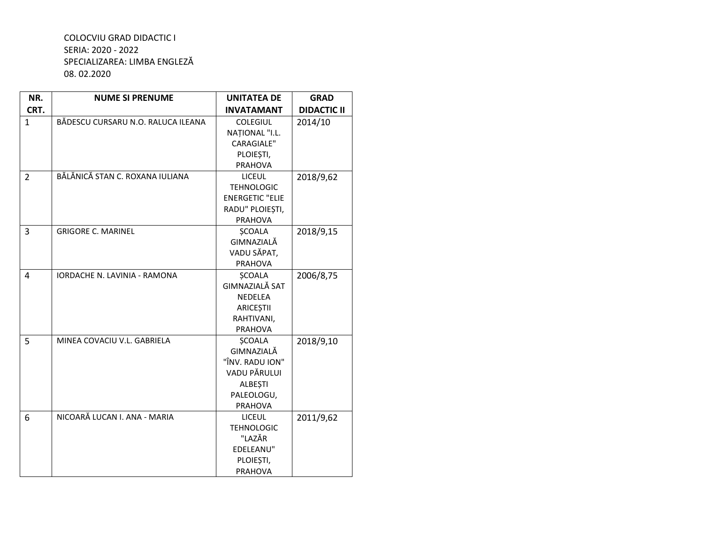## COLOCVIU GRAD DIDACTIC I SERIA: 2020 - 2022 SPECIALIZAREA: LIMBA ENGLEZĂ 08.02.2020

| NR.            | <b>NUME SI PRENUME</b>              | <b>UNITATEA DE</b>     | <b>GRAD</b>        |
|----------------|-------------------------------------|------------------------|--------------------|
| CRT.           |                                     | <b>INVATAMANT</b>      | <b>DIDACTIC II</b> |
| $\mathbf{1}$   | BĂDESCU CURSARU N.O. RALUCA ILEANA  | <b>COLEGIUL</b>        | 2014/10            |
|                |                                     | NATIONAL "I.L.         |                    |
|                |                                     | <b>CARAGIALE"</b>      |                    |
|                |                                     | PLOIESTI,              |                    |
|                |                                     | PRAHOVA                |                    |
| $\overline{2}$ | BĂLĂNICĂ STAN C. ROXANA IULIANA     | <b>LICEUL</b>          | 2018/9,62          |
|                |                                     | <b>TEHNOLOGIC</b>      |                    |
|                |                                     | <b>ENERGETIC "ELIE</b> |                    |
|                |                                     | RADU" PLOIEȘTI,        |                    |
|                |                                     | PRAHOVA                |                    |
| $\overline{3}$ | <b>GRIGORE C. MARINEL</b>           | <b>SCOALA</b>          | 2018/9,15          |
|                |                                     | GIMNAZIALĂ             |                    |
|                |                                     | VADU SĂPAT,            |                    |
|                |                                     | <b>PRAHOVA</b>         |                    |
| $\overline{a}$ | <b>IORDACHE N. LAVINIA - RAMONA</b> | <b>SCOALA</b>          | 2006/8,75          |
|                |                                     | GIMNAZIALĂ SAT         |                    |
|                |                                     | NEDELEA                |                    |
|                |                                     | ARICEȘTII              |                    |
|                |                                     | RAHTIVANI,             |                    |
|                |                                     | PRAHOVA                |                    |
| 5              | MINEA COVACIU V.L. GABRIELA         | <b>SCOALA</b>          | 2018/9,10          |
|                |                                     | GIMNAZIALĂ             |                    |
|                |                                     | "ÎNV. RADU ION"        |                    |
|                |                                     | VADU PĂRULUI           |                    |
|                |                                     | <b>ALBEȘTI</b>         |                    |
|                |                                     | PALEOLOGU,             |                    |
|                |                                     | <b>PRAHOVA</b>         |                    |
| 6              | NICOARĂ LUCAN I. ANA - MARIA        | <b>LICEUL</b>          | 2011/9,62          |
|                |                                     | <b>TEHNOLOGIC</b>      |                    |
|                |                                     | "LAZĂR                 |                    |
|                |                                     | EDELEANU"              |                    |
|                |                                     | PLOIEȘTI,              |                    |
|                |                                     | <b>PRAHOVA</b>         |                    |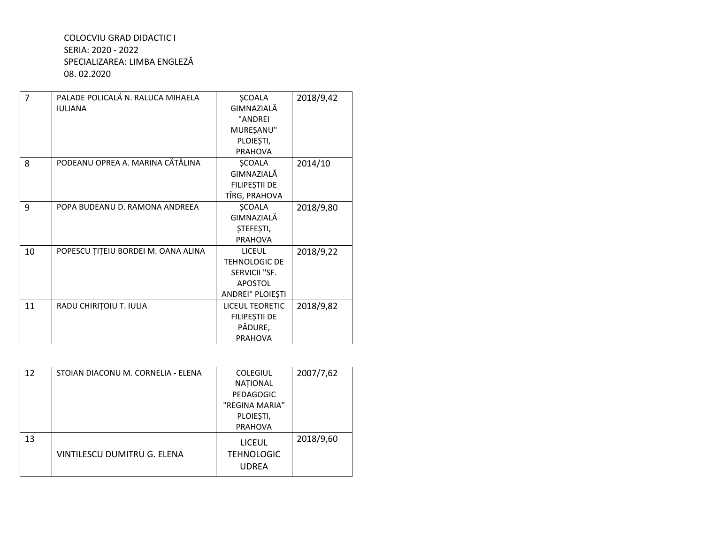## COLOCVIU GRAD DIDACTIC I SERIA: 2020 - 2022 SPECIALIZAREA: LIMBA ENGLEZĂ 08.02.2020

| $\overline{7}$ | PALADE POLICALĂ N. RALUCA MIHAELA   | <b>SCOALA</b>          | 2018/9,42 |
|----------------|-------------------------------------|------------------------|-----------|
|                | <b>IULIANA</b>                      | GIMNAZIALĂ             |           |
|                |                                     | "ANDREI                |           |
|                |                                     | MUREȘANU"              |           |
|                |                                     | PLOIEȘTI,              |           |
|                |                                     | <b>PRAHOVA</b>         |           |
| 8              | PODEANU OPREA A. MARINA CĂTĂLINA    | <b>ŞCOALA</b>          | 2014/10   |
|                |                                     | GIMNAZIALĂ             |           |
|                |                                     | FILIPEȘTII DE          |           |
|                |                                     | TÎRG, PRAHOVA          |           |
| 9              | POPA BUDEANU D. RAMONA ANDREEA      | <b>ŞCOALA</b>          | 2018/9,80 |
|                |                                     | GIMNAZIALĂ             |           |
|                |                                     | <b>STEFESTI,</b>       |           |
|                |                                     | <b>PRAHOVA</b>         |           |
| 10             | POPESCU ȚIȚEIU BORDEI M. OANA ALINA | <b>LICEUL</b>          | 2018/9,22 |
|                |                                     | <b>TEHNOLOGIC DE</b>   |           |
|                |                                     | SERVICII "SF.          |           |
|                |                                     | <b>APOSTOL</b>         |           |
|                |                                     | ANDREI" PLOIEȘTI       |           |
| 11             | RADU CHIRIȚOIU T. IULIA             | <b>LICEUL TEORETIC</b> | 2018/9,82 |
|                |                                     | FILIPEȘTII DE          |           |
|                |                                     | PĂDURE,                |           |
|                |                                     | <b>PRAHOVA</b>         |           |

| 12 | STOIAN DIACONU M. CORNELIA - ELENA | <b>COLEGIUL</b>   | 2007/7,62 |
|----|------------------------------------|-------------------|-----------|
|    |                                    | <b>NATIONAL</b>   |           |
|    |                                    | PEDAGOGIC         |           |
|    |                                    | "REGINA MARIA"    |           |
|    |                                    | PLOIEȘTI,         |           |
|    |                                    | <b>PRAHOVA</b>    |           |
| 13 |                                    | <b>LICEUL</b>     | 2018/9,60 |
|    | <b>VINTILESCU DUMITRU G. ELENA</b> | <b>TEHNOLOGIC</b> |           |
|    |                                    | <b>UDREA</b>      |           |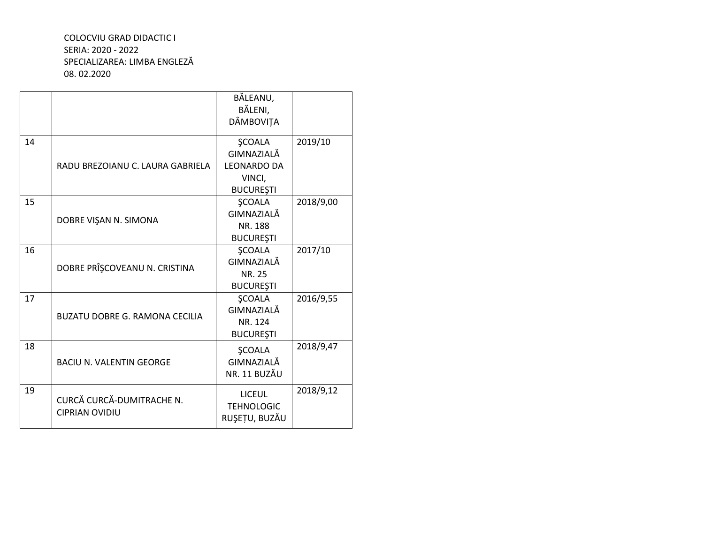## COLOCVIU GRAD DIDACTIC I SERIA: 2020 - 2022 SPECIALIZAREA: LIMBA ENGLEZĂ 08. 02.2020

|    |                                                    | BĂLEANU,<br>BĂLENI,<br>DÂMBOVIȚA                                                |           |
|----|----------------------------------------------------|---------------------------------------------------------------------------------|-----------|
| 14 | RADU BREZOIANU C. LAURA GABRIELA                   | <b>ŞCOALA</b><br>GIMNAZIALĂ<br><b>LEONARDO DA</b><br>VINCI,<br><b>BUCURESTI</b> | 2019/10   |
| 15 | DOBRE VIŞAN N. SIMONA                              | <b>SCOALA</b><br>GIMNAZIALĂ<br>NR. 188<br><b>BUCUREȘTI</b>                      | 2018/9,00 |
| 16 | DOBRE PRÎŞCOVEANU N. CRISTINA                      | <b>ŞCOALA</b><br>GIMNAZIALĂ<br>NR. 25<br><b>BUCUREȘTI</b>                       | 2017/10   |
| 17 | <b>BUZATU DOBRE G. RAMONA CECILIA</b>              | <b>SCOALA</b><br>GIMNAZIALĂ<br>NR. 124<br><b>BUCURESTI</b>                      | 2016/9,55 |
| 18 | <b>BACIU N. VALENTIN GEORGE</b>                    | <b>SCOALA</b><br>GIMNAZIALĂ<br>NR. 11 BUZĂU                                     | 2018/9,47 |
| 19 | CURCĂ CURCĂ-DUMITRACHE N.<br><b>CIPRIAN OVIDIU</b> | <b>LICEUL</b><br><b>TEHNOLOGIC</b><br>RUȘEȚU, BUZĂU                             | 2018/9,12 |